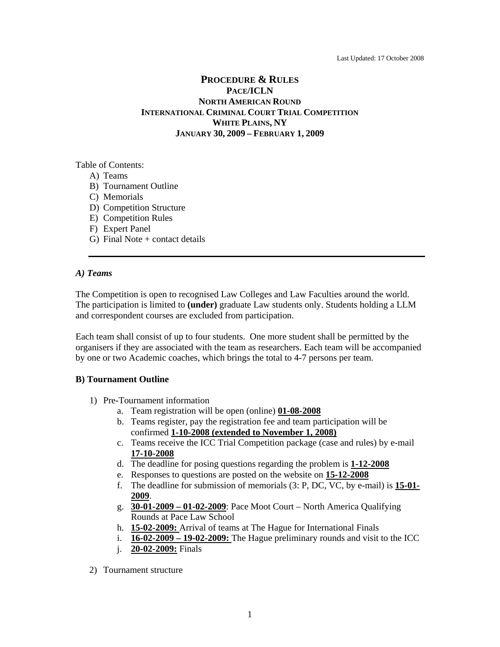# **PROCEDURE & RULES PACE/ICLN NORTH AMERICAN ROUND INTERNATIONAL CRIMINAL COURT TRIAL COMPETITION WHITE PLAINS, NY JANUARY 30, 2009 – FEBRUARY 1, 2009**

Table of Contents:

- A) Teams
- B) Tournament Outline
- C) Memorials
- D) Competition Structure
- E) Competition Rules
- F) Expert Panel
- G) Final Note  $+$  contact details

## *A) Teams*

The Competition is open to recognised Law Colleges and Law Faculties around the world. The participation is limited to **(under)** graduate Law students only. Students holding a LLM and correspondent courses are excluded from participation.

Each team shall consist of up to four students. One more student shall be permitted by the organisers if they are associated with the team as researchers. Each team will be accompanied by one or two Academic coaches, which brings the total to 4-7 persons per team.

## **B) Tournament Outline**

- 1) Pre-Tournament information
	- a. Team registration will be open (online) **01-08-2008**
	- b. Teams register, pay the registration fee and team participation will be confirmed **1-10-2008 (extended to November 1, 2008)**
	- c. Teams receive the ICC Trial Competition package (case and rules) by e-mail **17-10-2008**
	- d. The deadline for posing questions regarding the problem is **1-12-2008**
	- e. Responses to questions are posted on the website on **15-12-2008**
	- f. The deadline for submission of memorials (3: P, DC, VC, by e-mail) is **15-01- 2009**.
	- g. **30-01-2009 01-02-2009**: Pace Moot Court North America Qualifying Rounds at Pace Law School
	- h. **15-02-2009:** Arrival of teams at The Hague for International Finals
	- i. **16-02-2009 19-02-2009:** The Hague preliminary rounds and visit to the ICC
	- j. **20-02-2009:** Finals
- 2) Tournament structure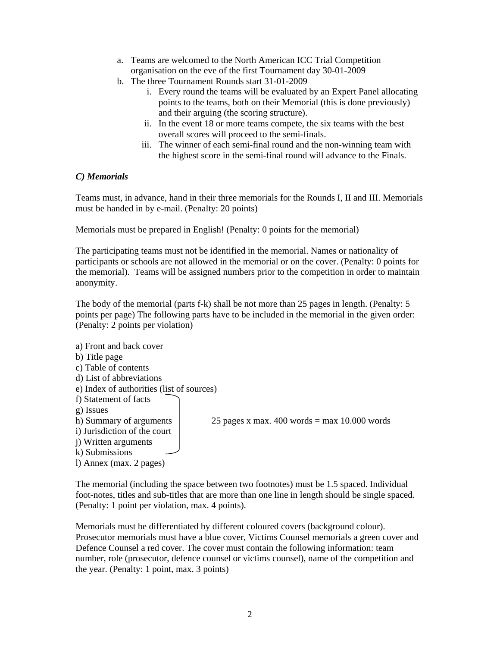- a. Teams are welcomed to the North American ICC Trial Competition organisation on the eve of the first Tournament day 30-01-2009
- b. The three Tournament Rounds start 31-01-2009
	- i. Every round the teams will be evaluated by an Expert Panel allocating points to the teams, both on their Memorial (this is done previously) and their arguing (the scoring structure).
	- ii. In the event 18 or more teams compete, the six teams with the best overall scores will proceed to the semi-finals.
	- iii. The winner of each semi-final round and the non-winning team with the highest score in the semi-final round will advance to the Finals.

# *C) Memorials*

Teams must, in advance, hand in their three memorials for the Rounds I, II and III. Memorials must be handed in by e-mail. (Penalty: 20 points)

Memorials must be prepared in English! (Penalty: 0 points for the memorial)

The participating teams must not be identified in the memorial. Names or nationality of participants or schools are not allowed in the memorial or on the cover. (Penalty: 0 points for the memorial). Teams will be assigned numbers prior to the competition in order to maintain anonymity.

The body of the memorial (parts f-k) shall be not more than 25 pages in length. (Penalty: 5 points per page) The following parts have to be included in the memorial in the given order: (Penalty: 2 points per violation)

a) Front and back cover b) Title page c) Table of contents d) List of abbreviations e) Index of authorities (list of sources) f) Statement of facts g) Issues h) Summary of arguments 25 pages x max.  $400$  words = max 10.000 words i) Jurisdiction of the court j) Written arguments k) Submissions l) Annex (max. 2 pages)

The memorial (including the space between two footnotes) must be 1.5 spaced. Individual foot-notes, titles and sub-titles that are more than one line in length should be single spaced. (Penalty: 1 point per violation, max. 4 points).

Memorials must be differentiated by different coloured covers (background colour). Prosecutor memorials must have a blue cover, Victims Counsel memorials a green cover and Defence Counsel a red cover. The cover must contain the following information: team number, role (prosecutor, defence counsel or victims counsel), name of the competition and the year. (Penalty: 1 point, max. 3 points)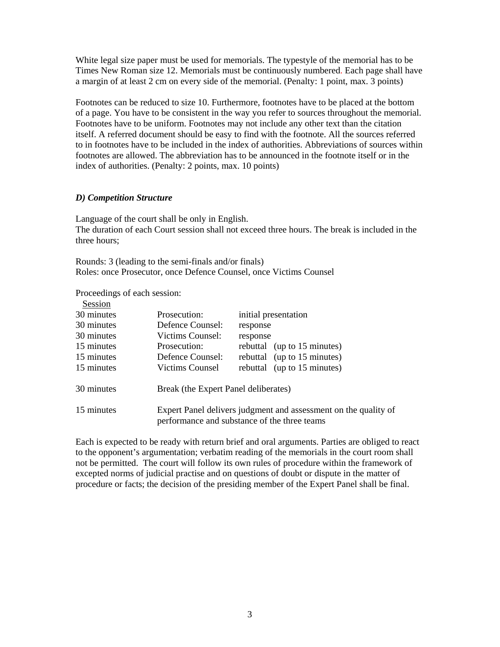White legal size paper must be used for memorials. The typestyle of the memorial has to be Times New Roman size 12. Memorials must be continuously numbered. Each page shall have a margin of at least 2 cm on every side of the memorial. (Penalty: 1 point, max. 3 points)

Footnotes can be reduced to size 10. Furthermore, footnotes have to be placed at the bottom of a page. You have to be consistent in the way you refer to sources throughout the memorial. Footnotes have to be uniform. Footnotes may not include any other text than the citation itself. A referred document should be easy to find with the footnote. All the sources referred to in footnotes have to be included in the index of authorities. Abbreviations of sources within footnotes are allowed. The abbreviation has to be announced in the footnote itself or in the index of authorities. (Penalty: 2 points, max. 10 points)

## *D) Competition Structure*

Language of the court shall be only in English. The duration of each Court session shall not exceed three hours. The break is included in the three hours;

Rounds: 3 (leading to the semi-finals and/or finals) Roles: once Prosecutor, once Defence Counsel, once Victims Counsel

Proceedings of each session:

| Session    |                                                                                                                 |                             |  |  |  |
|------------|-----------------------------------------------------------------------------------------------------------------|-----------------------------|--|--|--|
| 30 minutes | Prosecution:                                                                                                    | initial presentation        |  |  |  |
| 30 minutes | Defence Counsel:                                                                                                | response                    |  |  |  |
| 30 minutes | Victims Counsel:                                                                                                | response                    |  |  |  |
| 15 minutes | Prosecution:                                                                                                    | rebuttal (up to 15 minutes) |  |  |  |
| 15 minutes | Defence Counsel:                                                                                                | rebuttal (up to 15 minutes) |  |  |  |
| 15 minutes | Victims Counsel                                                                                                 | rebuttal (up to 15 minutes) |  |  |  |
| 30 minutes | Break (the Expert Panel deliberates)                                                                            |                             |  |  |  |
| 15 minutes | Expert Panel delivers judgment and assessment on the quality of<br>performance and substance of the three teams |                             |  |  |  |

Each is expected to be ready with return brief and oral arguments. Parties are obliged to react to the opponent's argumentation; verbatim reading of the memorials in the court room shall not be permitted. The court will follow its own rules of procedure within the framework of excepted norms of judicial practise and on questions of doubt or dispute in the matter of procedure or facts; the decision of the presiding member of the Expert Panel shall be final.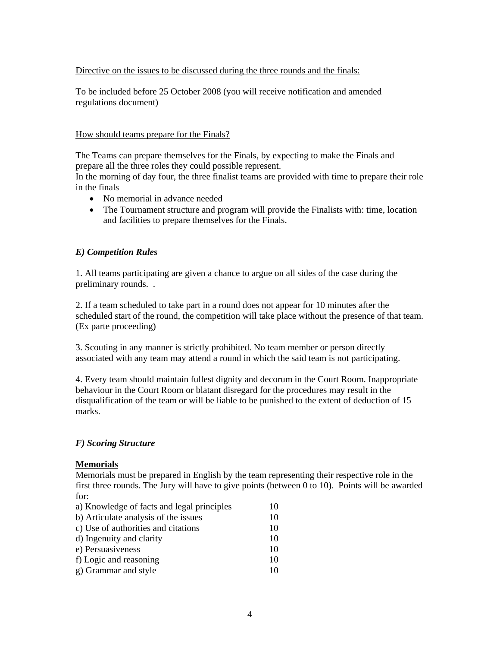## Directive on the issues to be discussed during the three rounds and the finals:

To be included before 25 October 2008 (you will receive notification and amended regulations document)

## How should teams prepare for the Finals?

The Teams can prepare themselves for the Finals, by expecting to make the Finals and prepare all the three roles they could possible represent.

In the morning of day four, the three finalist teams are provided with time to prepare their role in the finals

- No memorial in advance needed
- The Tournament structure and program will provide the Finalists with: time, location and facilities to prepare themselves for the Finals.

# *E) Competition Rules*

1. All teams participating are given a chance to argue on all sides of the case during the preliminary rounds. .

2. If a team scheduled to take part in a round does not appear for 10 minutes after the scheduled start of the round, the competition will take place without the presence of that team. (Ex parte proceeding)

3. Scouting in any manner is strictly prohibited. No team member or person directly associated with any team may attend a round in which the said team is not participating.

4. Every team should maintain fullest dignity and decorum in the Court Room. Inappropriate behaviour in the Court Room or blatant disregard for the procedures may result in the disqualification of the team or will be liable to be punished to the extent of deduction of 15 marks.

## *F) Scoring Structure*

## **Memorials**

Memorials must be prepared in English by the team representing their respective role in the first three rounds. The Jury will have to give points (between 0 to 10). Points will be awarded for:

| a) Knowledge of facts and legal principles | 10 |
|--------------------------------------------|----|
| b) Articulate analysis of the issues       | 10 |
| c) Use of authorities and citations        | 10 |
| d) Ingenuity and clarity                   | 10 |
| e) Persuasiveness                          | 10 |
| f) Logic and reasoning                     | 10 |
| g) Grammar and style                       | 10 |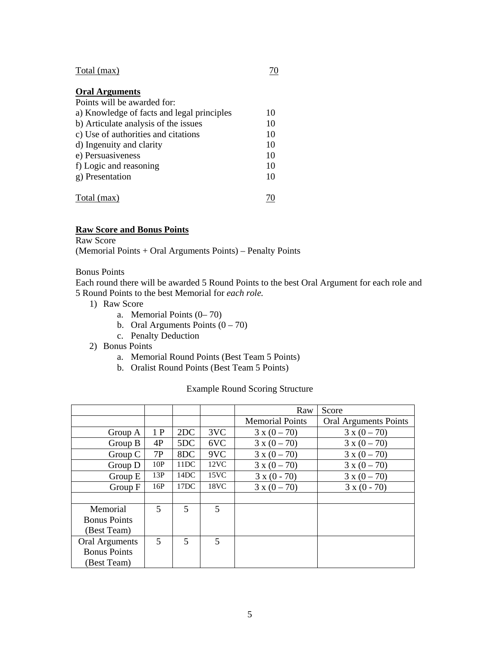#### $Total (max)$   $70$

## **Oral Arguments**

| Points will be awarded for:                |    |
|--------------------------------------------|----|
| a) Knowledge of facts and legal principles | 10 |
| b) Articulate analysis of the issues       | 10 |
| c) Use of authorities and citations        | 10 |
| d) Ingenuity and clarity                   | 10 |
| e) Persuasiveness                          | 10 |
| f) Logic and reasoning                     | 10 |
| g) Presentation                            | 10 |
|                                            |    |
| Total (max)                                |    |

# **Raw Score and Bonus Points**

Raw Score

(Memorial Points + Oral Arguments Points) – Penalty Points

#### Bonus Points

Each round there will be awarded 5 Round Points to the best Oral Argument for each role and 5 Round Points to the best Memorial for *each role.*

- 1) Raw Score
	- a. Memorial Points (0– 70)
	- b. Oral Arguments Points  $(0 70)$
	- c. Penalty Deduction
- 2) Bonus Points
	- a. Memorial Round Points (Best Team 5 Points)
	- b. Oralist Round Points (Best Team 5 Points)

#### Example Round Scoring Structure

|                     |     |                |      | Raw                    | Score                        |
|---------------------|-----|----------------|------|------------------------|------------------------------|
|                     |     |                |      | <b>Memorial Points</b> | <b>Oral Arguments Points</b> |
| Group A             | 1P  | 2DC            | 3VC  | $3 x (0 - 70)$         | $3 \times (0 - 70)$          |
| Group $B$           | 4P  | 5DC            | 6VC  | $3 x (0 - 70)$         | $3 x (0 - 70)$               |
| Group C             | 7P  | 8DC            | 9VC  | $3 x (0 - 70)$         | $3 x (0 - 70)$               |
| Group $D$           | 10P | 11DC           | 12VC | $3 x (0 - 70)$         | $3 x (0 - 70)$               |
| Group $E$           | 13P | 14DC           | 15VC | $3 x (0 - 70)$         | $3 x (0 - 70)$               |
| Group F             | 16P | 17DC           | 18VC | $3 x (0 - 70)$         | $3 x (0 - 70)$               |
|                     |     |                |      |                        |                              |
| Memorial            | 5   | 5              | 5    |                        |                              |
| <b>Bonus Points</b> |     |                |      |                        |                              |
| (Best Team)         |     |                |      |                        |                              |
| Oral Arguments      | 5   | $\overline{5}$ | 5    |                        |                              |
| <b>Bonus Points</b> |     |                |      |                        |                              |
| (Best Team)         |     |                |      |                        |                              |